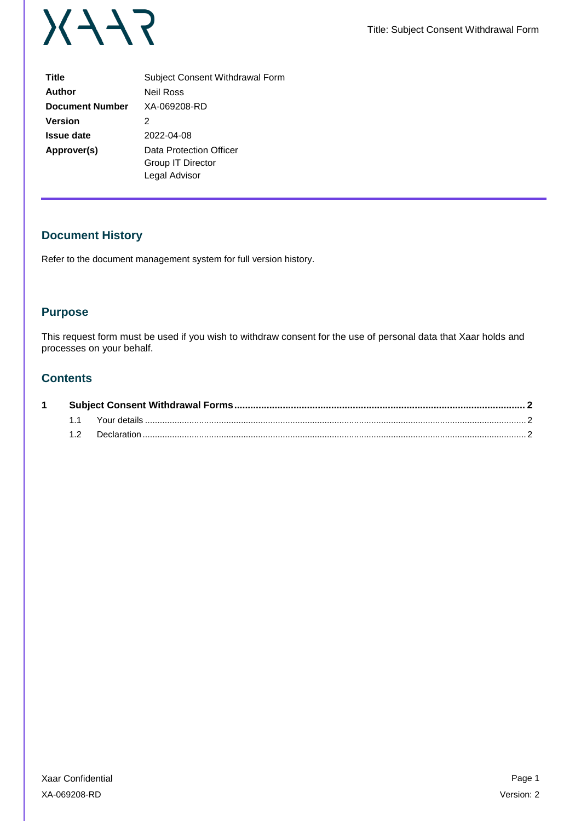

| <b>Title</b>           | Subject Consent Withdrawal Form                               |  |  |  |
|------------------------|---------------------------------------------------------------|--|--|--|
| Author                 | <b>Neil Ross</b>                                              |  |  |  |
| <b>Document Number</b> | XA-069208-RD                                                  |  |  |  |
| <b>Version</b>         | 2                                                             |  |  |  |
| <b>Issue date</b>      | 2022-04-08                                                    |  |  |  |
| Approver(s)            | Data Protection Officer<br>Group IT Director<br>Legal Advisor |  |  |  |

# **Document History**

Refer to the document management system for full version history.

### **Purpose**

This request form must be used if you wish to withdraw consent for the use of personal data that Xaar holds and processes on your behalf.

## **Contents**

|  |  | Your details |  |
|--|--|--------------|--|
|  |  | Declaration  |  |